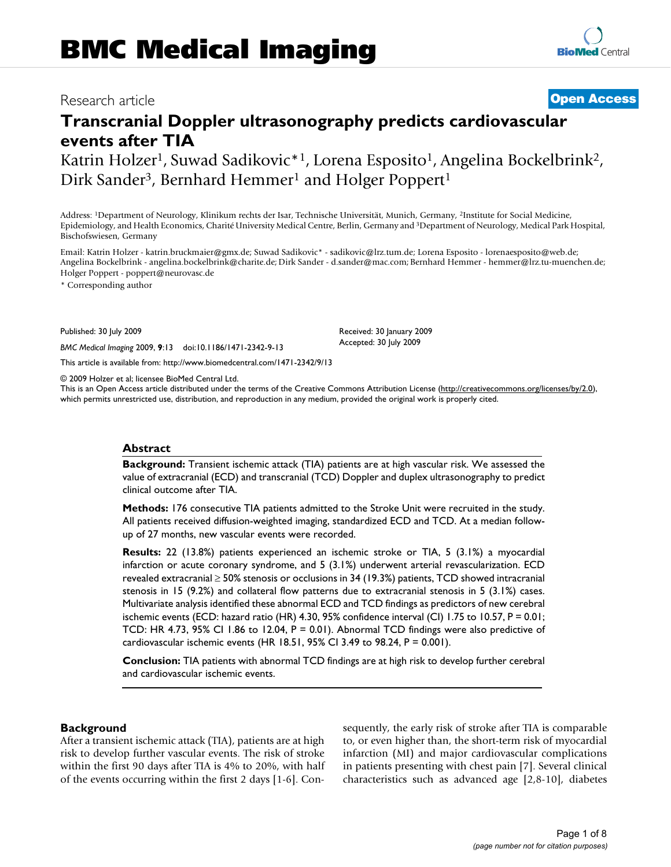# Research article **[Open Access](http://www.biomedcentral.com/info/about/charter/)**

# **[BioMed](http://www.biomedcentral.com/)** Central

# **Transcranial Doppler ultrasonography predicts cardiovascular events after TIA**

Katrin Holzer<sup>1</sup>, Suwad Sadikovic<sup>\*1</sup>, Lorena Esposito<sup>1</sup>, Angelina Bockelbrink<sup>2</sup>, Dirk Sander<sup>3</sup>, Bernhard Hemmer<sup>1</sup> and Holger Poppert<sup>1</sup>

Address: 1Department of Neurology, Klinikum rechts der Isar, Technische Universität, Munich, Germany, 2Institute for Social Medicine, Epidemiology, and Health Economics, Charité University Medical Centre, Berlin, Germany and 3Department of Neurology, Medical Park Hospital, Bischofswiesen, Germany

Email: Katrin Holzer - katrin.bruckmaier@gmx.de; Suwad Sadikovic\* - sadikovic@lrz.tum.de; Lorena Esposito - lorenaesposito@web.de; Angelina Bockelbrink - angelina.bockelbrink@charite.de; Dirk Sander - d.sander@mac.com; Bernhard Hemmer - hemmer@lrz.tu-muenchen.de; Holger Poppert - poppert@neurovasc.de

> Received: 30 January 2009 Accepted: 30 July 2009

\* Corresponding author

Published: 30 July 2009

*BMC Medical Imaging* 2009, **9**:13 doi:10.1186/1471-2342-9-13

[This article is available from: http://www.biomedcentral.com/1471-2342/9/13](http://www.biomedcentral.com/1471-2342/9/13)

© 2009 Holzer et al; licensee BioMed Central Ltd.

This is an Open Access article distributed under the terms of the Creative Commons Attribution License [\(http://creativecommons.org/licenses/by/2.0\)](http://creativecommons.org/licenses/by/2.0), which permits unrestricted use, distribution, and reproduction in any medium, provided the original work is properly cited.

# **Abstract**

**Background:** Transient ischemic attack (TIA) patients are at high vascular risk. We assessed the value of extracranial (ECD) and transcranial (TCD) Doppler and duplex ultrasonography to predict clinical outcome after TIA.

**Methods:** 176 consecutive TIA patients admitted to the Stroke Unit were recruited in the study. All patients received diffusion-weighted imaging, standardized ECD and TCD. At a median followup of 27 months, new vascular events were recorded.

**Results:** 22 (13.8%) patients experienced an ischemic stroke or TIA, 5 (3.1%) a myocardial infarction or acute coronary syndrome, and 5 (3.1%) underwent arterial revascularization. ECD revealed extracranial ≥ 50% stenosis or occlusions in 34 (19.3%) patients, TCD showed intracranial stenosis in 15 (9.2%) and collateral flow patterns due to extracranial stenosis in 5 (3.1%) cases. Multivariate analysis identified these abnormal ECD and TCD findings as predictors of new cerebral ischemic events (ECD: hazard ratio (HR) 4.30, 95% confidence interval (CI) 1.75 to 10.57, P = 0.01; TCD: HR 4.73, 95% CI 1.86 to 12.04,  $P = 0.01$ ). Abnormal TCD findings were also predictive of cardiovascular ischemic events (HR 18.51, 95% CI 3.49 to 98.24, P = 0.001).

**Conclusion:** TIA patients with abnormal TCD findings are at high risk to develop further cerebral and cardiovascular ischemic events.

# **Background**

After a transient ischemic attack (TIA), patients are at high risk to develop further vascular events. The risk of stroke within the first 90 days after TIA is 4% to 20%, with half of the events occurring within the first 2 days [\[1-](#page-6-0)[6](#page-6-1)]. Consequently, the early risk of stroke after TIA is comparable to, or even higher than, the short-term risk of myocardial infarction (MI) and major cardiovascular complications in patients presenting with chest pain [[7\]](#page-6-2). Several clinical characteristics such as advanced age [\[2,](#page-6-3)[8-](#page-6-4)[10\]](#page-6-5), diabetes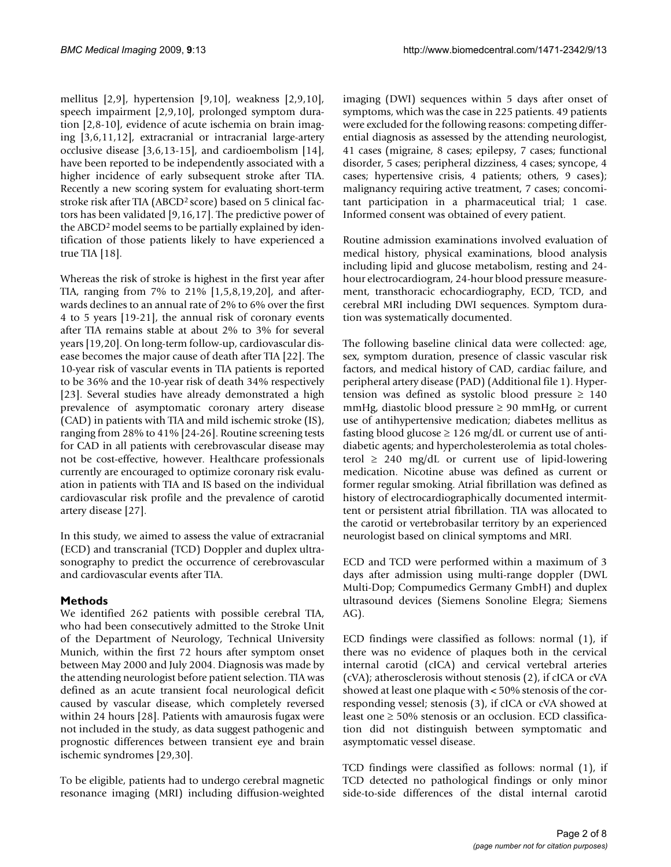mellitus [[2](#page-6-3),[9](#page-6-6)], hypertension [[9](#page-6-6),[10\]](#page-6-5), weakness [\[2](#page-6-3)[,9](#page-6-6)[,10](#page-6-5)], speech impairment [\[2,](#page-6-3)[9,](#page-6-6)[10\]](#page-6-5), prolonged symptom duration [\[2](#page-6-3),[8](#page-6-4)[-10](#page-6-5)], evidence of acute ischemia on brain imaging [[3](#page-6-7),[6](#page-6-1),[11,](#page-6-8)[12\]](#page-6-9), extracranial or intracranial large-artery occlusive disease [[3](#page-6-7),[6,](#page-6-1)[13](#page-6-10)[-15](#page-6-11)], and cardioembolism [\[14](#page-6-12)], have been reported to be independently associated with a higher incidence of early subsequent stroke after TIA. Recently a new scoring system for evaluating short-term stroke risk after TIA (ABCD<sup>2</sup> score) based on 5 clinical factors has been validated [[9](#page-6-6),[16,](#page-6-13)[17](#page-6-14)]. The predictive power of the ABCD2 model seems to be partially explained by identification of those patients likely to have experienced a true TIA [[18\]](#page-6-15).

Whereas the risk of stroke is highest in the first year after TIA, ranging from 7% to 21% [[1](#page-6-0),[5](#page-6-16),[8](#page-6-4),[19](#page-6-17),[20\]](#page-6-18), and afterwards declines to an annual rate of 2% to 6% over the first 4 to 5 years [[19](#page-6-17)[-21](#page-7-0)], the annual risk of coronary events after TIA remains stable at about 2% to 3% for several years [[19](#page-6-17),[20\]](#page-6-18). On long-term follow-up, cardiovascular disease becomes the major cause of death after TIA [\[22](#page-7-1)]. The 10-year risk of vascular events in TIA patients is reported to be 36% and the 10-year risk of death 34% respectively [[23](#page-7-2)]. Several studies have already demonstrated a high prevalence of asymptomatic coronary artery disease (CAD) in patients with TIA and mild ischemic stroke (IS), ranging from 28% to 41% [[24](#page-7-3)[-26](#page-7-4)]. Routine screening tests for CAD in all patients with cerebrovascular disease may not be cost-effective, however. Healthcare professionals currently are encouraged to optimize coronary risk evaluation in patients with TIA and IS based on the individual cardiovascular risk profile and the prevalence of carotid artery disease [\[27\]](#page-7-5).

In this study, we aimed to assess the value of extracranial (ECD) and transcranial (TCD) Doppler and duplex ultrasonography to predict the occurrence of cerebrovascular and cardiovascular events after TIA.

# **Methods**

We identified 262 patients with possible cerebral TIA, who had been consecutively admitted to the Stroke Unit of the Department of Neurology, Technical University Munich, within the first 72 hours after symptom onset between May 2000 and July 2004. Diagnosis was made by the attending neurologist before patient selection. TIA was defined as an acute transient focal neurological deficit caused by vascular disease, which completely reversed within 24 hours [[28\]](#page-7-6). Patients with amaurosis fugax were not included in the study, as data suggest pathogenic and prognostic differences between transient eye and brain ischemic syndromes [\[29](#page-7-7),[30](#page-7-8)].

To be eligible, patients had to undergo cerebral magnetic resonance imaging (MRI) including diffusion-weighted

imaging (DWI) sequences within 5 days after onset of symptoms, which was the case in 225 patients. 49 patients were excluded for the following reasons: competing differential diagnosis as assessed by the attending neurologist, 41 cases (migraine, 8 cases; epilepsy, 7 cases; functional disorder, 5 cases; peripheral dizziness, 4 cases; syncope, 4 cases; hypertensive crisis, 4 patients; others, 9 cases); malignancy requiring active treatment, 7 cases; concomitant participation in a pharmaceutical trial; 1 case. Informed consent was obtained of every patient.

Routine admission examinations involved evaluation of medical history, physical examinations, blood analysis including lipid and glucose metabolism, resting and 24 hour electrocardiogram, 24-hour blood pressure measurement, transthoracic echocardiography, ECD, TCD, and cerebral MRI including DWI sequences. Symptom duration was systematically documented.

The following baseline clinical data were collected: age, sex, symptom duration, presence of classic vascular risk factors, and medical history of CAD, cardiac failure, and peripheral artery disease (PAD) (Additional file [1\)](#page-6-19). Hypertension was defined as systolic blood pressure  $\geq 140$ mmHg, diastolic blood pressure ≥ 90 mmHg, or current use of antihypertensive medication; diabetes mellitus as fasting blood glucose  $\geq 126$  mg/dL or current use of antidiabetic agents; and hypercholesterolemia as total cholesterol  $\geq$  240 mg/dL or current use of lipid-lowering medication. Nicotine abuse was defined as current or former regular smoking. Atrial fibrillation was defined as history of electrocardiographically documented intermittent or persistent atrial fibrillation. TIA was allocated to the carotid or vertebrobasilar territory by an experienced neurologist based on clinical symptoms and MRI.

ECD and TCD were performed within a maximum of 3 days after admission using multi-range doppler (DWL Multi-Dop; Compumedics Germany GmbH) and duplex ultrasound devices (Siemens Sonoline Elegra; Siemens AG).

ECD findings were classified as follows: normal (1), if there was no evidence of plaques both in the cervical internal carotid (cICA) and cervical vertebral arteries (cVA); atherosclerosis without stenosis (2), if cICA or cVA showed at least one plaque with < 50% stenosis of the corresponding vessel; stenosis (3), if cICA or cVA showed at least one  $\geq 50\%$  stenosis or an occlusion. ECD classification did not distinguish between symptomatic and asymptomatic vessel disease.

TCD findings were classified as follows: normal (1), if TCD detected no pathological findings or only minor side-to-side differences of the distal internal carotid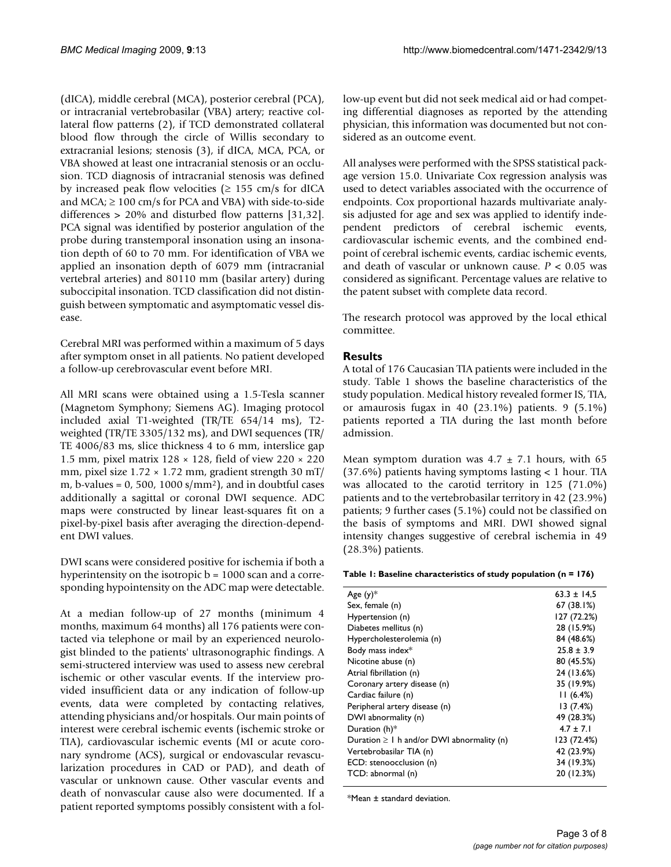(dICA), middle cerebral (MCA), posterior cerebral (PCA), or intracranial vertebrobasilar (VBA) artery; reactive collateral flow patterns (2), if TCD demonstrated collateral blood flow through the circle of Willis secondary to extracranial lesions; stenosis (3), if dICA, MCA, PCA, or VBA showed at least one intracranial stenosis or an occlusion. TCD diagnosis of intracranial stenosis was defined by increased peak flow velocities ( $\geq$  155 cm/s for dICA and  $MCA$ ;  $\geq 100$  cm/s for PCA and VBA) with side-to-side differences > 20% and disturbed flow patterns [[31](#page-7-9)[,32](#page-7-10)]. PCA signal was identified by posterior angulation of the probe during transtemporal insonation using an insonation depth of 60 to 70 mm. For identification of VBA we applied an insonation depth of 6079 mm (intracranial vertebral arteries) and 80110 mm (basilar artery) during suboccipital insonation. TCD classification did not distinguish between symptomatic and asymptomatic vessel disease.

Cerebral MRI was performed within a maximum of 5 days after symptom onset in all patients. No patient developed a follow-up cerebrovascular event before MRI.

All MRI scans were obtained using a 1.5-Tesla scanner (Magnetom Symphony; Siemens AG). Imaging protocol included axial T1-weighted (TR/TE 654/14 ms), T2 weighted (TR/TE 3305/132 ms), and DWI sequences (TR/ TE 4006/83 ms, slice thickness 4 to 6 mm, interslice gap 1.5 mm, pixel matrix 128 × 128, field of view 220 × 220 mm, pixel size  $1.72 \times 1.72$  mm, gradient strength 30 mT/ m, b-values =  $0$ , 500, 1000 s/mm<sup>2</sup>), and in doubtful cases additionally a sagittal or coronal DWI sequence. ADC maps were constructed by linear least-squares fit on a pixel-by-pixel basis after averaging the direction-dependent DWI values.

DWI scans were considered positive for ischemia if both a hyperintensity on the isotropic  $b = 1000$  scan and a corresponding hypointensity on the ADC map were detectable.

At a median follow-up of 27 months (minimum 4 months, maximum 64 months) all 176 patients were contacted via telephone or mail by an experienced neurologist blinded to the patients' ultrasonographic findings. A semi-structered interview was used to assess new cerebral ischemic or other vascular events. If the interview provided insufficient data or any indication of follow-up events, data were completed by contacting relatives, attending physicians and/or hospitals. Our main points of interest were cerebral ischemic events (ischemic stroke or TIA), cardiovascular ischemic events (MI or acute coronary syndrome (ACS), surgical or endovascular revascularization procedures in CAD or PAD), and death of vascular or unknown cause. Other vascular events and death of nonvascular cause also were documented. If a patient reported symptoms possibly consistent with a follow-up event but did not seek medical aid or had competing differential diagnoses as reported by the attending physician, this information was documented but not considered as an outcome event.

All analyses were performed with the SPSS statistical package version 15.0. Univariate Cox regression analysis was used to detect variables associated with the occurrence of endpoints. Cox proportional hazards multivariate analysis adjusted for age and sex was applied to identify independent predictors of cerebral ischemic events, cardiovascular ischemic events, and the combined endpoint of cerebral ischemic events, cardiac ischemic events, and death of vascular or unknown cause. *P* < 0.05 was considered as significant. Percentage values are relative to the patent subset with complete data record.

The research protocol was approved by the local ethical committee.

# **Results**

A total of 176 Caucasian TIA patients were included in the study. Table [1](#page-2-0) shows the baseline characteristics of the study population. Medical history revealed former IS, TIA, or amaurosis fugax in 40 (23.1%) patients. 9 (5.1%) patients reported a TIA during the last month before admission.

Mean symptom duration was  $4.7 \pm 7.1$  hours, with 65 (37.6%) patients having symptoms lasting < 1 hour. TIA was allocated to the carotid territory in 125 (71.0%) patients and to the vertebrobasilar territory in 42 (23.9%) patients; 9 further cases (5.1%) could not be classified on the basis of symptoms and MRI. DWI showed signal intensity changes suggestive of cerebral ischemia in 49 (28.3%) patients.

<span id="page-2-0"></span>

| Table 1: Baseline characteristics of study population ( $n = 176$ ) |  |  |
|---------------------------------------------------------------------|--|--|
|---------------------------------------------------------------------|--|--|

| Age $(y)^*$                                    | $63.3 \pm 14.5$ |
|------------------------------------------------|-----------------|
| Sex, female (n)                                | 67(38.1%)       |
| Hypertension (n)                               | 127 (72.2%)     |
| Diabetes mellitus (n)                          | 28 (15.9%)      |
| Hypercholesterolemia (n)                       | 84 (48.6%)      |
| Body mass index*                               | $25.8 \pm 3.9$  |
| Nicotine abuse (n)                             | 80 (45.5%)      |
| Atrial fibrillation (n)                        | 24 (13.6%)      |
| Coronary artery disease (n)                    | 35 (19.9%)      |
| Cardiac failure (n)                            | 11(6.4%)        |
| Peripheral artery disease (n)                  | 13(7.4%)        |
| DWI abnormality (n)                            | 49 (28.3%)      |
| Duration (h)*                                  | $4.7 \pm 7.1$   |
| Duration $\geq 1$ h and/or DWI abnormality (n) | 123 (72.4%)     |
| Vertebrobasilar TIA (n)                        | 42 (23.9%)      |
| ECD: stenoocclusion (n)                        | 34 (19.3%)      |
| TCD: abnormal (n)                              | 20 (12.3%)      |
|                                                |                 |

\*Mean ± standard deviation.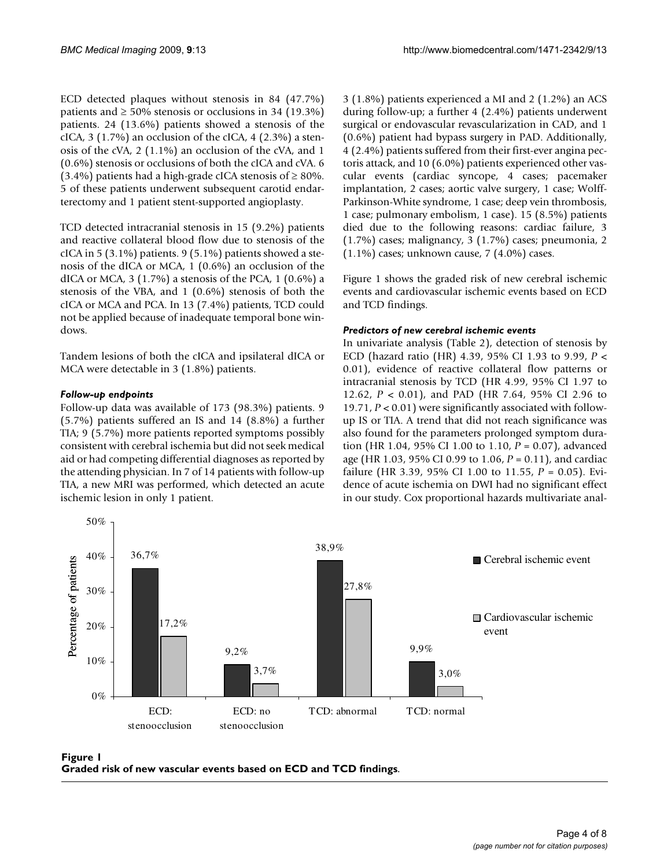ECD detected plaques without stenosis in 84 (47.7%) patients and  $\geq 50\%$  stenosis or occlusions in 34 (19.3%) patients. 24 (13.6%) patients showed a stenosis of the cICA,  $3(1.7%)$  an occlusion of the cICA,  $4(2.3%)$  a stenosis of the cVA, 2 (1.1%) an occlusion of the cVA, and 1 (0.6%) stenosis or occlusions of both the cICA and cVA. 6 (3.4%) patients had a high-grade cICA stenosis of  $\geq$  80%. 5 of these patients underwent subsequent carotid endarterectomy and 1 patient stent-supported angioplasty.

TCD detected intracranial stenosis in 15 (9.2%) patients and reactive collateral blood flow due to stenosis of the cICA in 5 (3.1%) patients. 9 (5.1%) patients showed a stenosis of the dICA or MCA, 1 (0.6%) an occlusion of the dICA or MCA, 3 (1.7%) a stenosis of the PCA, 1 (0.6%) a stenosis of the VBA, and 1 (0.6%) stenosis of both the cICA or MCA and PCA. In 13 (7.4%) patients, TCD could not be applied because of inadequate temporal bone windows.

Tandem lesions of both the cICA and ipsilateral dICA or MCA were detectable in 3 (1.8%) patients.

# *Follow-up endpoints*

Follow-up data was available of 173 (98.3%) patients. 9 (5.7%) patients suffered an IS and 14 (8.8%) a further TIA; 9 (5.7%) more patients reported symptoms possibly consistent with cerebral ischemia but did not seek medical aid or had competing differential diagnoses as reported by the attending physician. In 7 of 14 patients with follow-up TIA, a new MRI was performed, which detected an acute ischemic lesion in only 1 patient.

3 (1.8%) patients experienced a MI and 2 (1.2%) an ACS during follow-up; a further 4 (2.4%) patients underwent surgical or endovascular revascularization in CAD, and 1 (0.6%) patient had bypass surgery in PAD. Additionally, 4 (2.4%) patients suffered from their first-ever angina pectoris attack, and 10 (6.0%) patients experienced other vascular events (cardiac syncope, 4 cases; pacemaker implantation, 2 cases; aortic valve surgery, 1 case; Wolff-Parkinson-White syndrome, 1 case; deep vein thrombosis, 1 case; pulmonary embolism, 1 case). 15 (8.5%) patients died due to the following reasons: cardiac failure, 3 (1.7%) cases; malignancy, 3 (1.7%) cases; pneumonia, 2  $(1.1\%)$  cases; unknown cause, 7  $(4.0\%)$  cases.

Figure [1](#page-3-0) shows the graded risk of new cerebral ischemic events and cardiovascular ischemic events based on ECD and TCD findings.

# *Predictors of new cerebral ischemic events*

In univariate analysis (Table [2](#page-4-0)), detection of stenosis by ECD (hazard ratio (HR) 4.39, 95% CI 1.93 to 9.99, *P* < 0.01), evidence of reactive collateral flow patterns or intracranial stenosis by TCD (HR 4.99, 95% CI 1.97 to 12.62, *P* < 0.01), and PAD (HR 7.64, 95% CI 2.96 to 19.71, *P* < 0.01) were significantly associated with followup IS or TIA. A trend that did not reach significance was also found for the parameters prolonged symptom duration (HR 1.04, 95% CI 1.00 to 1.10, *P* = 0.07), advanced age (HR 1.03, 95% CI 0.99 to 1.06, *P* = 0.11), and cardiac failure (HR 3.39, 95% CI 1.00 to 11.55, *P* = 0.05). Evidence of acute ischemia on DWI had no significant effect in our study. Cox proportional hazards multivariate anal-

<span id="page-3-0"></span>

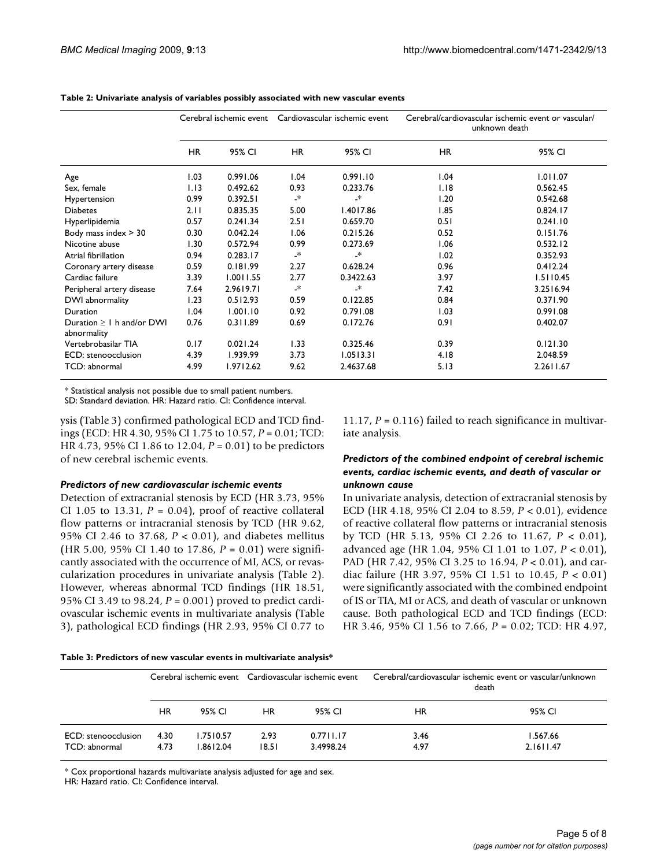|                                               | Cerebral ischemic event |           | Cardiovascular ischemic event |           | Cerebral/cardiovascular ischemic event or vascular/<br>unknown death |           |
|-----------------------------------------------|-------------------------|-----------|-------------------------------|-----------|----------------------------------------------------------------------|-----------|
|                                               | <b>HR</b>               | 95% CI    | <b>HR</b>                     | 95% CI    | <b>HR</b>                                                            | 95% CI    |
| Age                                           | 1.03                    | 0.991.06  | 1.04                          | 0.991.10  | 1.04                                                                 | 1.011.07  |
| Sex, female                                   | 1.13                    | 0.492.62  | 0.93                          | 0.233.76  | 1.18                                                                 | 0.562.45  |
| Hypertension                                  | 0.99                    | 0.392.51  | _*                            | ∗         | 1.20                                                                 | 0.542.68  |
| <b>Diabetes</b>                               | 2.11                    | 0.835.35  | 5.00                          | 1.4017.86 | 1.85                                                                 | 0.824.17  |
| Hyperlipidemia                                | 0.57                    | 0.241.34  | 2.51                          | 0.659.70  | 0.51                                                                 | 0.241.10  |
| Body mass index > 30                          | 0.30                    | 0.042.24  | 1.06                          | 0.215.26  | 0.52                                                                 | 0.151.76  |
| Nicotine abuse                                | 1.30                    | 0.572.94  | 0.99                          | 0.273.69  | 1.06                                                                 | 0.532.12  |
| Atrial fibrillation                           | 0.94                    | 0.283.17  | _*                            | $\cdot^*$ | 1.02                                                                 | 0.352.93  |
| Coronary artery disease                       | 0.59                    | 0.181.99  | 2.27                          | 0.628.24  | 0.96                                                                 | 0.412.24  |
| Cardiac failure                               | 3.39                    | 1.0011.55 | 2.77                          | 0.3422.63 | 3.97                                                                 | 1.5110.45 |
| Peripheral artery disease                     | 7.64                    | 2.9619.71 | _*                            | _*        | 7.42                                                                 | 3.2516.94 |
| DWI abnormality                               | 1.23                    | 0.512.93  | 0.59                          | 0.122.85  | 0.84                                                                 | 0.371.90  |
| Duration                                      | 1.04                    | 1.001.10  | 0.92                          | 0.791.08  | 1.03                                                                 | 0.991.08  |
| Duration $\geq 1$ h and/or DWI<br>abnormality | 0.76                    | 0.311.89  | 0.69                          | 0.172.76  | 0.91                                                                 | 0.402.07  |
| Vertebrobasilar TIA                           | 0.17                    | 0.021.24  | 1.33                          | 0.325.46  | 0.39                                                                 | 0.121.30  |
| ECD: stenoocclusion                           | 4.39                    | 1.939.99  | 3.73                          | 1.0513.31 | 4.18                                                                 | 2.048.59  |
| TCD: abnormal                                 | 4.99                    | 1.9712.62 | 9.62                          | 2.4637.68 | 5.13                                                                 | 2.2611.67 |

<span id="page-4-0"></span>**Table 2: Univariate analysis of variables possibly associated with new vascular events**

\* Statistical analysis not possible due to small patient numbers.

SD: Standard deviation. HR: Hazard ratio. CI: Confidence interval.

ysis (Table [3](#page-4-1)) confirmed pathological ECD and TCD findings (ECD: HR 4.30, 95% CI 1.75 to 10.57, *P* = 0.01; TCD: HR 4.73, 95% CI 1.86 to 12.04, *P* = 0.01) to be predictors of new cerebral ischemic events.

#### *Predictors of new cardiovascular ischemic events*

Detection of extracranial stenosis by ECD (HR 3.73, 95% CI 1.05 to 13.31,  $P = 0.04$ ), proof of reactive collateral flow patterns or intracranial stenosis by TCD (HR 9.62, 95% CI 2.46 to 37.68, *P* < 0.01), and diabetes mellitus (HR 5.00, 95% CI 1.40 to 17.86, *P* = 0.01) were significantly associated with the occurrence of MI, ACS, or revascularization procedures in univariate analysis (Table [2\)](#page-4-0). However, whereas abnormal TCD findings (HR 18.51, 95% CI 3.49 to 98.24, *P* = 0.001) proved to predict cardiovascular ischemic events in multivariate analysis (Table [3\)](#page-4-1), pathological ECD findings (HR 2.93, 95% CI 0.77 to

11.17,  $P = 0.116$ ) failed to reach significance in multivariate analysis.

#### *Predictors of the combined endpoint of cerebral ischemic events, cardiac ischemic events, and death of vascular or unknown cause*

In univariate analysis, detection of extracranial stenosis by ECD (HR 4.18, 95% CI 2.04 to 8.59, *P* < 0.01), evidence of reactive collateral flow patterns or intracranial stenosis by TCD (HR 5.13, 95% CI 2.26 to 11.67, *P* < 0.01), advanced age (HR 1.04, 95% CI 1.01 to 1.07, *P* < 0.01), PAD (HR 7.42, 95% CI 3.25 to 16.94, *P* < 0.01), and cardiac failure (HR 3.97, 95% CI 1.51 to 10.45, *P* < 0.01) were significantly associated with the combined endpoint of IS or TIA, MI or ACS, and death of vascular or unknown cause. Both pathological ECD and TCD findings (ECD: HR 3.46, 95% CI 1.56 to 7.66, *P* = 0.02; TCD: HR 4.97,

<span id="page-4-1"></span>**Table 3: Predictors of new vascular events in multivariate analysis\***

|                                      |              |                        | Cerebral ischemic event Cardiovascular ischemic event |                        | Cerebral/cardiovascular ischemic event or vascular/unknown<br>death |                       |
|--------------------------------------|--------------|------------------------|-------------------------------------------------------|------------------------|---------------------------------------------------------------------|-----------------------|
|                                      | ΗR           | 95% CI                 | HR                                                    | 95% CI                 | <b>HR</b>                                                           | 95% CI                |
| ECD: stenoocclusion<br>TCD: abnormal | 4.30<br>4.73 | 1.7510.57<br>1.8612.04 | 2.93<br>18.51                                         | 0.7711.17<br>3.4998.24 | 3.46<br>4.97                                                        | 1.567.66<br>2.1611.47 |

\* Cox proportional hazards multivariate analysis adjusted for age and sex.

HR: Hazard ratio. CI: Confidence interval.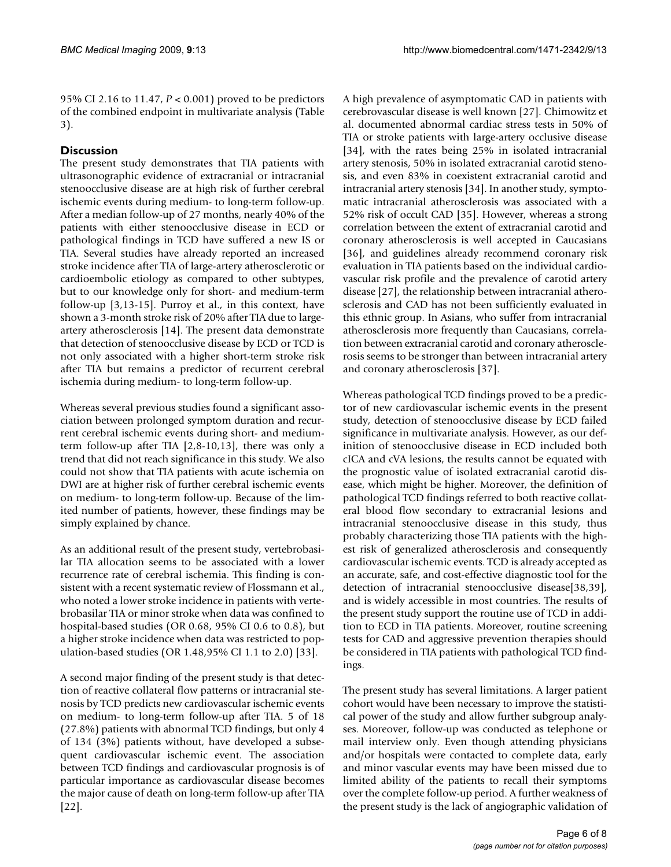95% CI 2.16 to 11.47, *P* < 0.001) proved to be predictors of the combined endpoint in multivariate analysis (Table [3\)](#page-4-1).

# **Discussion**

The present study demonstrates that TIA patients with ultrasonographic evidence of extracranial or intracranial stenoocclusive disease are at high risk of further cerebral ischemic events during medium- to long-term follow-up. After a median follow-up of 27 months, nearly 40% of the patients with either stenoocclusive disease in ECD or pathological findings in TCD have suffered a new IS or TIA. Several studies have already reported an increased stroke incidence after TIA of large-artery atherosclerotic or cardioembolic etiology as compared to other subtypes, but to our knowledge only for short- and medium-term follow-up [\[3](#page-6-7),[13-](#page-6-10)[15\]](#page-6-11). Purroy et al., in this context, have shown a 3-month stroke risk of 20% after TIA due to largeartery atherosclerosis [\[14](#page-6-12)]. The present data demonstrate that detection of stenoocclusive disease by ECD or TCD is not only associated with a higher short-term stroke risk after TIA but remains a predictor of recurrent cerebral ischemia during medium- to long-term follow-up.

Whereas several previous studies found a significant association between prolonged symptom duration and recurrent cerebral ischemic events during short- and mediumterm follow-up after TIA [\[2](#page-6-3),[8](#page-6-4)[-10](#page-6-5),[13\]](#page-6-10), there was only a trend that did not reach significance in this study. We also could not show that TIA patients with acute ischemia on DWI are at higher risk of further cerebral ischemic events on medium- to long-term follow-up. Because of the limited number of patients, however, these findings may be simply explained by chance.

As an additional result of the present study, vertebrobasilar TIA allocation seems to be associated with a lower recurrence rate of cerebral ischemia. This finding is consistent with a recent systematic review of Flossmann et al., who noted a lower stroke incidence in patients with vertebrobasilar TIA or minor stroke when data was confined to hospital-based studies (OR 0.68, 95% CI 0.6 to 0.8), but a higher stroke incidence when data was restricted to population-based studies (OR 1.48,95% CI 1.1 to 2.0) [\[33](#page-7-11)].

A second major finding of the present study is that detection of reactive collateral flow patterns or intracranial stenosis by TCD predicts new cardiovascular ischemic events on medium- to long-term follow-up after TIA. 5 of 18 (27.8%) patients with abnormal TCD findings, but only 4 of 134 (3%) patients without, have developed a subsequent cardiovascular ischemic event. The association between TCD findings and cardiovascular prognosis is of particular importance as cardiovascular disease becomes the major cause of death on long-term follow-up after TIA [[22](#page-7-1)].

A high prevalence of asymptomatic CAD in patients with cerebrovascular disease is well known [\[27](#page-7-5)]. Chimowitz et al. documented abnormal cardiac stress tests in 50% of TIA or stroke patients with large-artery occlusive disease [[34](#page-7-12)], with the rates being 25% in isolated intracranial artery stenosis, 50% in isolated extracranial carotid stenosis, and even 83% in coexistent extracranial carotid and intracranial artery stenosis [[34\]](#page-7-12). In another study, symptomatic intracranial atherosclerosis was associated with a 52% risk of occult CAD [\[35](#page-7-13)]. However, whereas a strong correlation between the extent of extracranial carotid and coronary atherosclerosis is well accepted in Caucasians [[36](#page-7-14)], and guidelines already recommend coronary risk evaluation in TIA patients based on the individual cardiovascular risk profile and the prevalence of carotid artery disease [\[27](#page-7-5)], the relationship between intracranial atherosclerosis and CAD has not been sufficiently evaluated in this ethnic group. In Asians, who suffer from intracranial atherosclerosis more frequently than Caucasians, correlation between extracranial carotid and coronary atherosclerosis seems to be stronger than between intracranial artery and coronary atherosclerosis [\[37](#page-7-15)].

Whereas pathological TCD findings proved to be a predictor of new cardiovascular ischemic events in the present study, detection of stenoocclusive disease by ECD failed significance in multivariate analysis. However, as our definition of stenoocclusive disease in ECD included both cICA and cVA lesions, the results cannot be equated with the prognostic value of isolated extracranial carotid disease, which might be higher. Moreover, the definition of pathological TCD findings referred to both reactive collateral blood flow secondary to extracranial lesions and intracranial stenoocclusive disease in this study, thus probably characterizing those TIA patients with the highest risk of generalized atherosclerosis and consequently cardiovascular ischemic events. TCD is already accepted as an accurate, safe, and cost-effective diagnostic tool for the detection of intracranial stenoocclusive disease[[38,](#page-7-16)[39](#page-7-17)], and is widely accessible in most countries. The results of the present study support the routine use of TCD in addition to ECD in TIA patients. Moreover, routine screening tests for CAD and aggressive prevention therapies should be considered in TIA patients with pathological TCD findings.

The present study has several limitations. A larger patient cohort would have been necessary to improve the statistical power of the study and allow further subgroup analyses. Moreover, follow-up was conducted as telephone or mail interview only. Even though attending physicians and/or hospitals were contacted to complete data, early and minor vascular events may have been missed due to limited ability of the patients to recall their symptoms over the complete follow-up period. A further weakness of the present study is the lack of angiographic validation of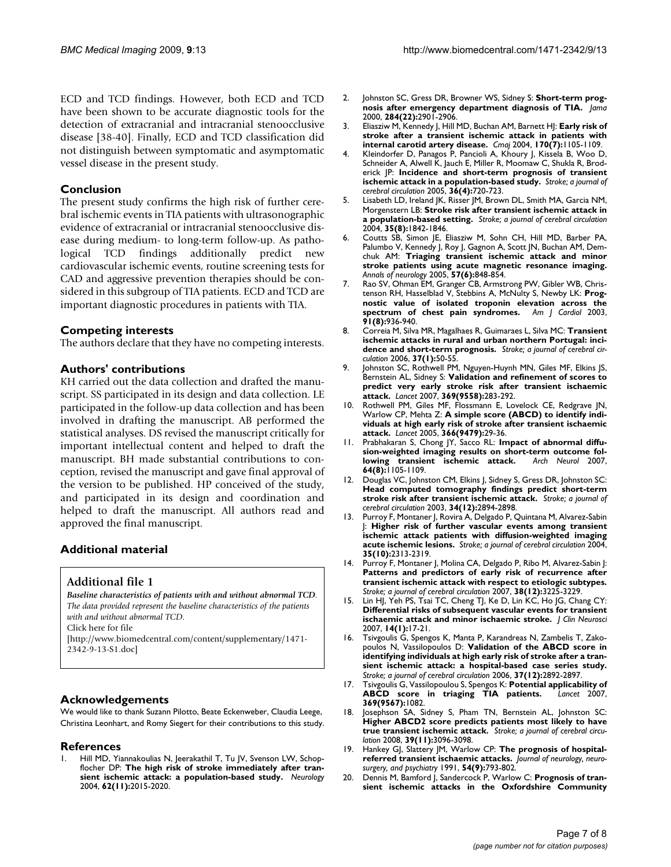ECD and TCD findings. However, both ECD and TCD have been shown to be accurate diagnostic tools for the detection of extracranial and intracranial stenoocclusive disease [\[38](#page-7-16)[-40](#page-7-18)]. Finally, ECD and TCD classification did not distinguish between symptomatic and asymptomatic vessel disease in the present study.

# **Conclusion**

The present study confirms the high risk of further cerebral ischemic events in TIA patients with ultrasonographic evidence of extracranial or intracranial stenoocclusive disease during medium- to long-term follow-up. As pathological TCD findings additionally predict new cardiovascular ischemic events, routine screening tests for CAD and aggressive prevention therapies should be considered in this subgroup of TIA patients. ECD and TCD are important diagnostic procedures in patients with TIA.

# **Competing interests**

The authors declare that they have no competing interests.

# **Authors' contributions**

KH carried out the data collection and drafted the manuscript. SS participated in its design and data collection. LE participated in the follow-up data collection and has been involved in drafting the manuscript. AB performed the statistical analyses. DS revised the manuscript critically for important intellectual content and helped to draft the manuscript. BH made substantial contributions to conception, revised the manuscript and gave final approval of the version to be published. HP conceived of the study, and participated in its design and coordination and helped to draft the manuscript. All authors read and approved the final manuscript.

# **Additional material**

# <span id="page-6-19"></span>**Additional file 1**

*Baseline characteristics of patients with and without abnormal TCD. The data provided represent the baseline characteristics of the patients with and without abnormal TCD.* Click here for file [\[http://www.biomedcentral.com/content/supplementary/1471-](http://www.biomedcentral.com/content/supplementary/1471-2342-9-13-S1.doc) 2342-9-13-S1.doc]

#### **Acknowledgements**

We would like to thank Suzann Pilotto, Beate Eckenweber, Claudia Leege, Christina Leonhart, and Romy Siegert for their contributions to this study.

#### **References**

<span id="page-6-0"></span>Hill MD, Yiannakoulias N, Jeerakathil T, Tu JV, Svenson LW, Schopflocher DP: **[The high risk of stroke immediately after tran](http://www.ncbi.nlm.nih.gov/entrez/query.fcgi?cmd=Retrieve&db=PubMed&dopt=Abstract&list_uids=15184607)[sient ischemic attack: a population-based study.](http://www.ncbi.nlm.nih.gov/entrez/query.fcgi?cmd=Retrieve&db=PubMed&dopt=Abstract&list_uids=15184607)** *Neurology* 2004, **62(11):**2015-2020.

- <span id="page-6-3"></span>2. Johnston SC, Gress DR, Browner WS, Sidney S: **[Short-term prog](http://www.ncbi.nlm.nih.gov/entrez/query.fcgi?cmd=Retrieve&db=PubMed&dopt=Abstract&list_uids=11147987)[nosis after emergency department diagnosis of TIA.](http://www.ncbi.nlm.nih.gov/entrez/query.fcgi?cmd=Retrieve&db=PubMed&dopt=Abstract&list_uids=11147987)** *Jama* 2000, **284(22):**2901-2906.
- <span id="page-6-7"></span>3. Eliasziw M, Kennedy J, Hill MD, Buchan AM, Barnett HJ: **[Early risk of](http://www.ncbi.nlm.nih.gov/entrez/query.fcgi?cmd=Retrieve&db=PubMed&dopt=Abstract&list_uids=15051694) [stroke after a transient ischemic attack in patients with](http://www.ncbi.nlm.nih.gov/entrez/query.fcgi?cmd=Retrieve&db=PubMed&dopt=Abstract&list_uids=15051694) [internal carotid artery disease.](http://www.ncbi.nlm.nih.gov/entrez/query.fcgi?cmd=Retrieve&db=PubMed&dopt=Abstract&list_uids=15051694)** *Cmaj* 2004, **170(7):**1105-1109.
- 4. Kleindorfer D, Panagos P, Pancioli A, Khoury J, Kissela B, Woo D, Schneider A, Alwell K, Jauch E, Miller R, Moomaw C, Shukla R, Broderick JP: **[Incidence and short-term prognosis of transient](http://www.ncbi.nlm.nih.gov/entrez/query.fcgi?cmd=Retrieve&db=PubMed&dopt=Abstract&list_uids=15731465) [ischemic attack in a population-based study.](http://www.ncbi.nlm.nih.gov/entrez/query.fcgi?cmd=Retrieve&db=PubMed&dopt=Abstract&list_uids=15731465)** *Stroke; a journal of cerebral circulation* 2005, **36(4):**720-723.
- <span id="page-6-16"></span>5. Lisabeth LD, Ireland JK, Risser JM, Brown DL, Smith MA, Garcia NM, Morgenstern LB: **[Stroke risk after transient ischemic attack in](http://www.ncbi.nlm.nih.gov/entrez/query.fcgi?cmd=Retrieve&db=PubMed&dopt=Abstract&list_uids=15192239) [a population-based setting.](http://www.ncbi.nlm.nih.gov/entrez/query.fcgi?cmd=Retrieve&db=PubMed&dopt=Abstract&list_uids=15192239)** *Stroke; a journal of cerebral circulation* 2004, **35(8):**1842-1846.
- <span id="page-6-1"></span>6. Coutts SB, Simon JE, Eliasziw M, Sohn CH, Hill MD, Barber PA, Palumbo V, Kennedy J, Roy J, Gagnon A, Scott JN, Buchan AM, Demchuk AM: **[Triaging transient ischemic attack and minor](http://www.ncbi.nlm.nih.gov/entrez/query.fcgi?cmd=Retrieve&db=PubMed&dopt=Abstract&list_uids=15929051) [stroke patients using acute magnetic resonance imaging.](http://www.ncbi.nlm.nih.gov/entrez/query.fcgi?cmd=Retrieve&db=PubMed&dopt=Abstract&list_uids=15929051)** *Annals of neurology* 2005, **57(6):**848-854.
- <span id="page-6-2"></span>7. Rao SV, Ohman EM, Granger CB, Armstrong PW, Gibler WB, Christenson RH, Hasselblad V, Stebbins A, McNulty S, Newby LK: **[Prog](http://www.ncbi.nlm.nih.gov/entrez/query.fcgi?cmd=Retrieve&db=PubMed&dopt=Abstract&list_uids=12686331)[nostic value of isolated troponin elevation across the](http://www.ncbi.nlm.nih.gov/entrez/query.fcgi?cmd=Retrieve&db=PubMed&dopt=Abstract&list_uids=12686331) [spectrum of chest pain syndromes.](http://www.ncbi.nlm.nih.gov/entrez/query.fcgi?cmd=Retrieve&db=PubMed&dopt=Abstract&list_uids=12686331)** *Am J Cardiol* 2003, **91(8):**936-940.
- <span id="page-6-4"></span>8. Correia M, Silva MR, Magalhaes R, Guimaraes L, Silva MC: **[Transient](http://www.ncbi.nlm.nih.gov/entrez/query.fcgi?cmd=Retrieve&db=PubMed&dopt=Abstract&list_uids=16322498) [ischemic attacks in rural and urban northern Portugal: inci](http://www.ncbi.nlm.nih.gov/entrez/query.fcgi?cmd=Retrieve&db=PubMed&dopt=Abstract&list_uids=16322498)[dence and short-term prognosis.](http://www.ncbi.nlm.nih.gov/entrez/query.fcgi?cmd=Retrieve&db=PubMed&dopt=Abstract&list_uids=16322498)** *Stroke; a journal of cerebral circulation* 2006, **37(1):**50-55.
- <span id="page-6-6"></span>9. Johnston SC, Rothwell PM, Nguyen-Huynh MN, Giles MF, Elkins JS, Bernstein AL, Sidney S: **[Validation and refinement of scores to](http://www.ncbi.nlm.nih.gov/entrez/query.fcgi?cmd=Retrieve&db=PubMed&dopt=Abstract&list_uids=17258668) [predict very early stroke risk after transient ischaemic](http://www.ncbi.nlm.nih.gov/entrez/query.fcgi?cmd=Retrieve&db=PubMed&dopt=Abstract&list_uids=17258668) [attack.](http://www.ncbi.nlm.nih.gov/entrez/query.fcgi?cmd=Retrieve&db=PubMed&dopt=Abstract&list_uids=17258668)** *Lancet* 2007, **369(9558):**283-292.
- <span id="page-6-5"></span>10. Rothwell PM, Giles MF, Flossmann E, Lovelock CE, Redgrave JN, Warlow CP, Mehta Z: **[A simple score \(ABCD\) to identify indi](http://www.ncbi.nlm.nih.gov/entrez/query.fcgi?cmd=Retrieve&db=PubMed&dopt=Abstract&list_uids=15993230)[viduals at high early risk of stroke after transient ischaemic](http://www.ncbi.nlm.nih.gov/entrez/query.fcgi?cmd=Retrieve&db=PubMed&dopt=Abstract&list_uids=15993230) [attack.](http://www.ncbi.nlm.nih.gov/entrez/query.fcgi?cmd=Retrieve&db=PubMed&dopt=Abstract&list_uids=15993230)** *Lancet* 2005, **366(9479):**29-36.
- <span id="page-6-8"></span>11. Prabhakaran S, Chong JY, Sacco RL: **[Impact of abnormal diffu](http://www.ncbi.nlm.nih.gov/entrez/query.fcgi?cmd=Retrieve&db=PubMed&dopt=Abstract&list_uids=17698700)[sion-weighted imaging results on short-term outcome fol](http://www.ncbi.nlm.nih.gov/entrez/query.fcgi?cmd=Retrieve&db=PubMed&dopt=Abstract&list_uids=17698700)**[lowing transient ischemic attack.](http://www.ncbi.nlm.nih.gov/entrez/query.fcgi?cmd=Retrieve&db=PubMed&dopt=Abstract&list_uids=17698700) **64(8):**1105-1109.
- <span id="page-6-9"></span>12. Douglas VC, Johnston CM, Elkins J, Sidney S, Gress DR, Johnston SC: **[Head computed tomography findings predict short-term](http://www.ncbi.nlm.nih.gov/entrez/query.fcgi?cmd=Retrieve&db=PubMed&dopt=Abstract&list_uids=14615614) [stroke risk after transient ischemic attack.](http://www.ncbi.nlm.nih.gov/entrez/query.fcgi?cmd=Retrieve&db=PubMed&dopt=Abstract&list_uids=14615614)** *Stroke; a journal of cerebral circulation* 2003, **34(12):**2894-2898.
- <span id="page-6-10"></span>13. Purroy F, Montaner J, Rovira A, Delgado P, Quintana M, Alvarez-Sabin J: **[Higher risk of further vascular events among transient](http://www.ncbi.nlm.nih.gov/entrez/query.fcgi?cmd=Retrieve&db=PubMed&dopt=Abstract&list_uids=15322305) [ischemic attack patients with diffusion-weighted imaging](http://www.ncbi.nlm.nih.gov/entrez/query.fcgi?cmd=Retrieve&db=PubMed&dopt=Abstract&list_uids=15322305) [acute ischemic lesions.](http://www.ncbi.nlm.nih.gov/entrez/query.fcgi?cmd=Retrieve&db=PubMed&dopt=Abstract&list_uids=15322305)** *Stroke; a journal of cerebral circulation* 2004, **35(10):**2313-2319.
- <span id="page-6-12"></span>14. Purroy F, Montaner J, Molina CA, Delgado P, Ribo M, Alvarez-Sabin J: **[Patterns and predictors of early risk of recurrence after](http://www.ncbi.nlm.nih.gov/entrez/query.fcgi?cmd=Retrieve&db=PubMed&dopt=Abstract&list_uids=17962602) transient ischemic attack with respect to etiologic subtypes.** *Stroke; a journal of cerebral circulation* 2007, **38(12):**3225-3229.
- <span id="page-6-11"></span>Lin HJ, Yeh PS, Tsai TC, Cheng TJ, Ke D, Lin KC, Ho JG, Chang CY: **[Differential risks of subsequent vascular events for transient](http://www.ncbi.nlm.nih.gov/entrez/query.fcgi?cmd=Retrieve&db=PubMed&dopt=Abstract&list_uids=17138065) [ischaemic attack and minor ischaemic stroke.](http://www.ncbi.nlm.nih.gov/entrez/query.fcgi?cmd=Retrieve&db=PubMed&dopt=Abstract&list_uids=17138065)** *J Clin Neurosci* 2007, **14(1):**17-21.
- <span id="page-6-13"></span>16. Tsivgoulis G, Spengos K, Manta P, Karandreas N, Zambelis T, Zakopoulos N, Vassilopoulos D: **[Validation of the ABCD score in](http://www.ncbi.nlm.nih.gov/entrez/query.fcgi?cmd=Retrieve&db=PubMed&dopt=Abstract&list_uids=17053179) [identifying individuals at high early risk of stroke after a tran](http://www.ncbi.nlm.nih.gov/entrez/query.fcgi?cmd=Retrieve&db=PubMed&dopt=Abstract&list_uids=17053179)sient ischemic attack: a hospital-based case series study.** *Stroke; a journal of cerebral circulation* 2006, **37(12):**2892-2897.
- <span id="page-6-14"></span>17. Tsivgoulis G, Vassilopoulou S, Spengos K: **[Potential applicability of](http://www.ncbi.nlm.nih.gov/entrez/query.fcgi?cmd=Retrieve&db=PubMed&dopt=Abstract&list_uids=17398306) ABCD** score in triaging TIA patients. **369(9567):**1082.
- <span id="page-6-15"></span>18. Josephson SA, Sidney S, Pham TN, Bernstein AL, Johnston SC: **[Higher ABCD2 score predicts patients most likely to have](http://www.ncbi.nlm.nih.gov/entrez/query.fcgi?cmd=Retrieve&db=PubMed&dopt=Abstract&list_uids=18688003) [true transient ischemic attack.](http://www.ncbi.nlm.nih.gov/entrez/query.fcgi?cmd=Retrieve&db=PubMed&dopt=Abstract&list_uids=18688003)** *Stroke; a journal of cerebral circulation* 2008, **39(11):**3096-3098.
- <span id="page-6-17"></span>19. Hankey GJ, Slattery JM, Warlow CP: **[The prognosis of hospital](http://www.ncbi.nlm.nih.gov/entrez/query.fcgi?cmd=Retrieve&db=PubMed&dopt=Abstract&list_uids=1955898)[referred transient ischaemic attacks.](http://www.ncbi.nlm.nih.gov/entrez/query.fcgi?cmd=Retrieve&db=PubMed&dopt=Abstract&list_uids=1955898)** *Journal of neurology, neurosurgery, and psychiatry* 1991, **54(9):**793-802.
- <span id="page-6-18"></span>20. Dennis M, Bamford J, Sandercock P, Warlow C: **[Prognosis of tran](http://www.ncbi.nlm.nih.gov/entrez/query.fcgi?cmd=Retrieve&db=PubMed&dopt=Abstract&list_uids=2349586)[sient ischemic attacks in the Oxfordshire Community](http://www.ncbi.nlm.nih.gov/entrez/query.fcgi?cmd=Retrieve&db=PubMed&dopt=Abstract&list_uids=2349586)**